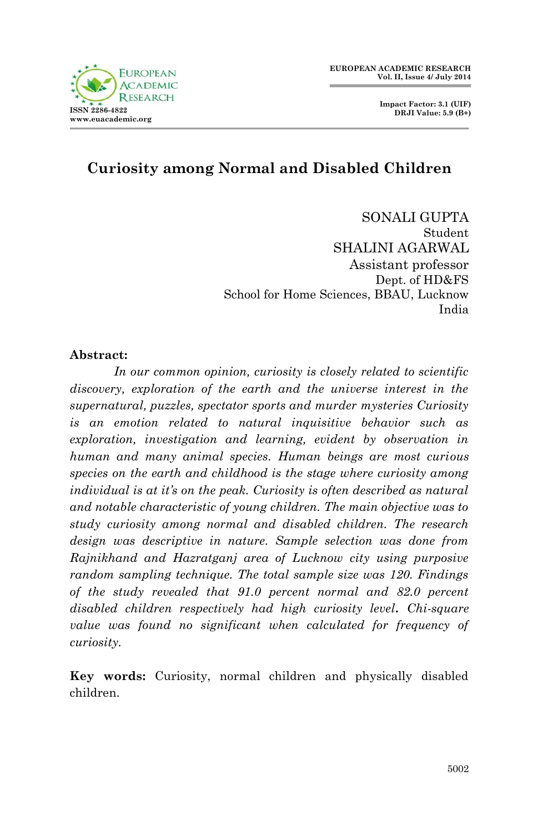

 **Impact Factor: 3.1 (UIF) DRJI Value: 5.9 (B+)**

# **Curiosity among Normal and Disabled Children**

SONALI GUPTA Student SHALINI AGARWAL Assistant professor Dept. of HD&FS School for Home Sciences, BBAU, Lucknow India

#### **Abstract:**

*In our common opinion, curiosity is closely related to scientific discovery, exploration of the earth and the universe interest in the supernatural, puzzles, spectator sports and murder mysteries Curiosity is an emotion related to natural inquisitive behavior such as exploration, investigation and learning, evident by observation in human and many animal species. Human beings are most curious species on the earth and childhood is the stage where curiosity among individual is at it's on the peak. Curiosity is often described as natural and notable characteristic of young children. The main objective was to study curiosity among normal and disabled children. The research design was descriptive in nature. Sample selection was done from Rajnikhand and Hazratganj area of Lucknow city using purposive random sampling technique. The total sample size was 120. Findings of the study revealed that 91.0 percent normal and 82.0 percent disabled children respectively had high curiosity level. Chi-square value was found no significant when calculated for frequency of curiosity.*

**Key words:** Curiosity, normal children and physically disabled children.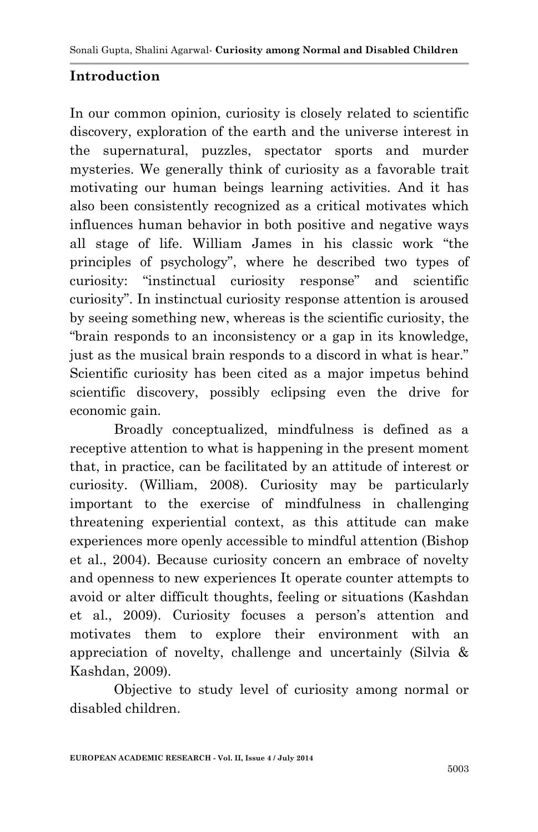# **Introduction**

In our common opinion, curiosity is closely related to scientific discovery, exploration of the earth and the universe interest in the supernatural, puzzles, spectator sports and murder mysteries. We generally think of curiosity as a favorable trait motivating our human beings learning activities. And it has also been consistently recognized as a critical motivates which influences human behavior in both positive and negative ways all stage of life. William James in his classic work "the principles of psychology", where he described two types of curiosity: "instinctual curiosity response" and scientific curiosity". In instinctual curiosity response attention is aroused by seeing something new, whereas is the scientific curiosity, the "brain responds to an inconsistency or a gap in its knowledge, just as the musical brain responds to a discord in what is hear." Scientific curiosity has been cited as a major impetus behind scientific discovery, possibly eclipsing even the drive for economic gain.

Broadly conceptualized, mindfulness is defined as a receptive attention to what is happening in the present moment that, in practice, can be facilitated by an attitude of interest or curiosity. (William, 2008). Curiosity may be particularly important to the exercise of mindfulness in challenging threatening experiential context, as this attitude can make experiences more openly accessible to mindful attention (Bishop et al., 2004). Because curiosity concern an embrace of novelty and openness to new experiences It operate counter attempts to avoid or alter difficult thoughts, feeling or situations (Kashdan et al., 2009). Curiosity focuses a person's attention and motivates them to explore their environment with an appreciation of novelty, challenge and uncertainly (Silvia & Kashdan, 2009).

Objective to study level of curiosity among normal or disabled children.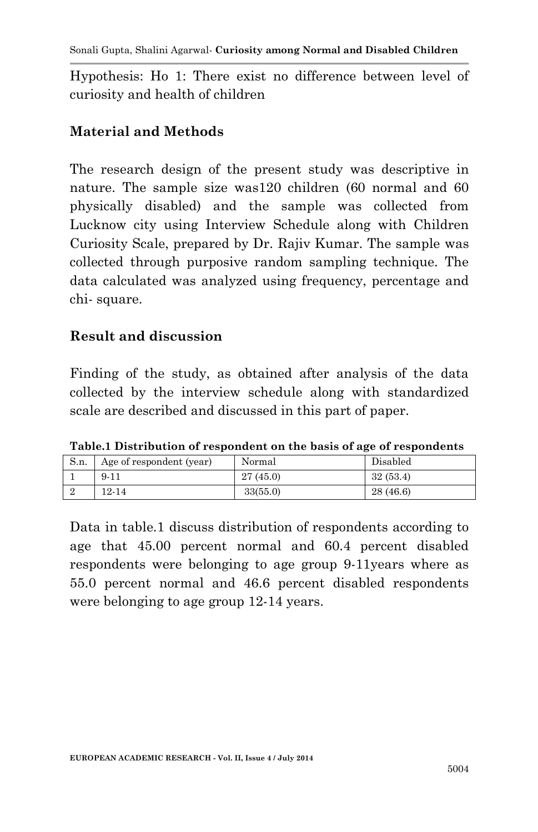Hypothesis: Ho 1: There exist no difference between level of curiosity and health of children

### **Material and Methods**

The research design of the present study was descriptive in nature. The sample size was120 children (60 normal and 60 physically disabled) and the sample was collected from Lucknow city using Interview Schedule along with Children Curiosity Scale, prepared by Dr. Rajiv Kumar. The sample was collected through purposive random sampling technique. The data calculated was analyzed using frequency, percentage and chi- square.

#### **Result and discussion**

Finding of the study, as obtained after analysis of the data collected by the interview schedule along with standardized scale are described and discussed in this part of paper.

| S.n. | Age of respondent (year) | Normal   | Disabled |
|------|--------------------------|----------|----------|
|      | $9 - 11$                 | 27(45.0) | 32(53.4) |
|      | $12 - 14$                | 33(55.0) | 28(46.6) |

**Table.1 Distribution of respondent on the basis of age of respondents**

Data in table.1 discuss distribution of respondents according to age that 45.00 percent normal and 60.4 percent disabled respondents were belonging to age group 9-11years where as 55.0 percent normal and 46.6 percent disabled respondents were belonging to age group 12-14 years.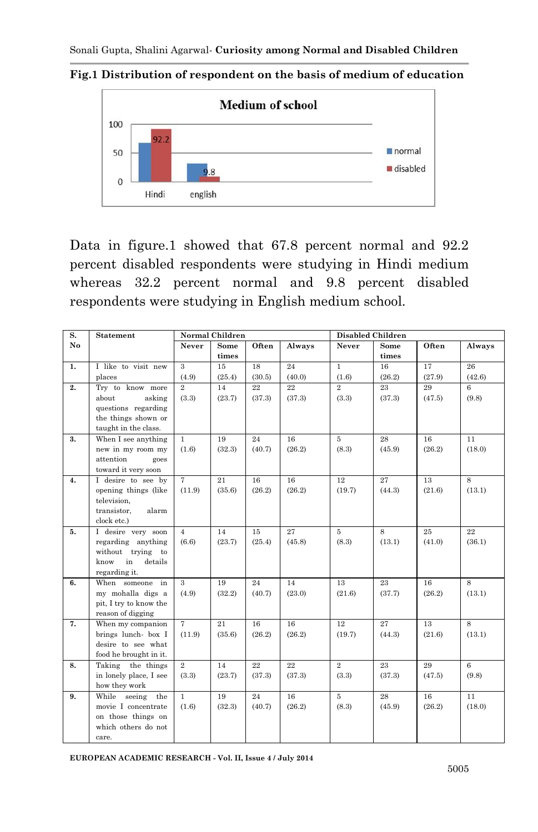

**Fig.1 Distribution of respondent on the basis of medium of education**

Data in figure.1 showed that 67.8 percent normal and 92.2 percent disabled respondents were studying in Hindi medium whereas 32.2 percent normal and 9.8 percent disabled respondents were studying in English medium school.

| S. | Statement                                    | Normal Children |        |        |        | <b>Disabled Children</b> |        |        |                 |
|----|----------------------------------------------|-----------------|--------|--------|--------|--------------------------|--------|--------|-----------------|
| No |                                              | Never           | Some   | Often  | Always | Never                    | Some   | Often  | Always          |
|    |                                              |                 | times  |        |        |                          | times  |        |                 |
| 1. | I like to visit new                          | 3               | 15     | 18     | 24     | $\mathbf{1}$             | 16     | 17     | 26              |
|    | places                                       | (4.9)           | (25.4) | (30.5) | (40.0) | (1.6)                    | (26.2) | (27.9) | (42.6)          |
| 2. | Try to know more                             | $\overline{2}$  | 14     | 22     | 22     | $\overline{2}$           | 23     | 29     | 6               |
|    | about<br>asking                              | (3.3)           | (23.7) | (37.3) | (37.3) | (3.3)                    | (37.3) | (47.5) | (9.8)           |
|    | questions regarding                          |                 |        |        |        |                          |        |        |                 |
|    | the things shown or                          |                 |        |        |        |                          |        |        |                 |
|    | taught in the class.                         |                 |        |        |        |                          |        |        |                 |
| 3. | When I see anything                          | $\mathbf{1}$    | 19     | 24     | 16     | 5                        | 28     | 16     | 11              |
|    | new in my room my                            | (1.6)           | (32.3) | (40.7) | (26.2) | (8.3)                    | (45.9) | (26.2) | (18.0)          |
|    | attention<br>goes<br>toward it very soon     |                 |        |        |        |                          |        |        |                 |
| 4. | I desire to see by                           | $\overline{7}$  | 21     | 16     | 16     | 12                       | 27     | 13     | 8               |
|    | opening things (like                         | (11.9)          | (35.6) | (26.2) | (26.2) | (19.7)                   | (44.3) | (21.6) | (13.1)          |
|    | television,                                  |                 |        |        |        |                          |        |        |                 |
|    | transistor,<br>alarm                         |                 |        |        |        |                          |        |        |                 |
|    | clock etc.)                                  |                 |        |        |        |                          |        |        |                 |
| 5. | I desire very soon                           | $\overline{4}$  | 14     | 15     | 27     | $\overline{5}$           | 8      | 25     | 22              |
|    | regarding anything                           | (6.6)           | (23.7) | (25.4) | (45.8) | (8.3)                    | (13.1) | (41.0) | (36.1)          |
|    | without trying to                            |                 |        |        |        |                          |        |        |                 |
|    | know<br>in<br>details                        |                 |        |        |        |                          |        |        |                 |
|    | regarding it.                                |                 |        |        |        |                          |        |        |                 |
| 6. | When someone in                              | $\overline{3}$  | 19     | 24     | 14     | 13                       | 23     | 16     | $\overline{8}$  |
|    | my mohalla digs a                            | (4.9)           | (32.2) | (40.7) | (23.0) | (21.6)                   | (37.7) | (26.2) | (13.1)          |
|    | pit, I try to know the                       |                 |        |        |        |                          |        |        |                 |
|    | reason of digging                            |                 |        |        |        |                          |        |        |                 |
| 7. | When my companion                            | $\tau$          | 21     | 16     | 16     | 12                       | 27     | 13     | 8               |
|    | brings lunch- box I                          | (11.9)          | (35.6) | (26.2) | (26.2) | (19.7)                   | (44.3) | (21.6) | (13.1)          |
|    | desire to see what<br>food he brought in it. |                 |        |        |        |                          |        |        |                 |
| 8. | Taking the things                            | $\overline{2}$  | 14     | 22     | 22     | $\overline{2}$           | 23     | 29     | $6\overline{6}$ |
|    | in lonely place, I see                       | (3.3)           | (23.7) | (37.3) | (37.3) | (3.3)                    | (37.3) | (47.5) | (9.8)           |
|    | how they work                                |                 |        |        |        |                          |        |        |                 |
| 9. | While<br>seeing<br>the                       | $\mathbf{1}$    | 19     | 24     | 16     | 5                        | 28     | 16     | 11              |
|    | movie I concentrate                          | (1.6)           | (32.3) | (40.7) | (26.2) | (8.3)                    | (45.9) | (26.2) | (18.0)          |
|    | on those things on                           |                 |        |        |        |                          |        |        |                 |
|    | which others do not                          |                 |        |        |        |                          |        |        |                 |
|    | care.                                        |                 |        |        |        |                          |        |        |                 |

**EUROPEAN ACADEMIC RESEARCH - Vol. II, Issue 4 / July 2014**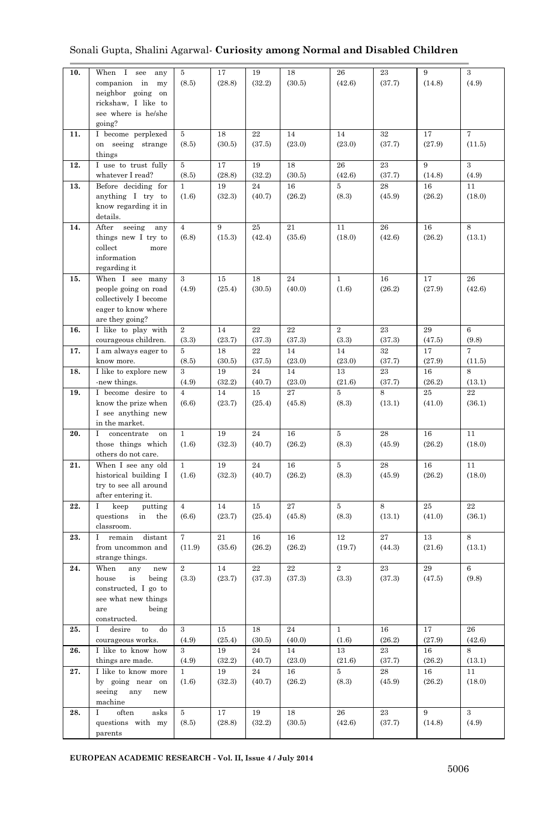#### Sonali Gupta, Shalini Agarwal*-* **Curiosity among Normal and Disabled Children**

| 10. |                                             |                | 17     |          | 18     | 26             |        | 9        | 3            |
|-----|---------------------------------------------|----------------|--------|----------|--------|----------------|--------|----------|--------------|
|     | When I see<br>any                           | 5              |        | 19       |        |                | 23     |          |              |
|     | companion in<br>my                          | (8.5)          | (28.8) | (32.2)   | (30.5) | (42.6)         | (37.7) | (14.8)   | (4.9)        |
|     | neighbor going on                           |                |        |          |        |                |        |          |              |
|     | rickshaw, I like to                         |                |        |          |        |                |        |          |              |
|     | see where is he/she                         |                |        |          |        |                |        |          |              |
|     | going?                                      |                |        |          |        |                |        |          |              |
| 11. | I become perplexed                          | 5              | 18     | 22       | 14     | 14             | 32     | 17       | 7            |
|     | on seeing strange                           | (8.5)          | (30.5) | (37.5)   | (23.0) | (23.0)         | (37.7) | (27.9)   | (11.5)       |
|     | things                                      |                |        |          |        |                |        |          |              |
|     |                                             |                |        |          |        |                |        | 9        | $\mathbf{a}$ |
| 12. | I use to trust fully                        | 5              | 17     | 19       | 18     | 26             | 23     |          |              |
|     | whatever I read?                            | (8.5)          | (28.8) | (32.2)   | (30.5) | (42.6)         | (37.7) | (14.8)   | (4.9)        |
| 13. | Before deciding for                         | $\mathbf{1}$   | 19     | 24       | 16     | 5              | 28     | 16       | 11           |
|     | anything I try to                           | (1.6)          | (32.3) | (40.7)   | (26.2) | (8.3)          | (45.9) | (26.2)   | (18.0)       |
|     | know regarding it in                        |                |        |          |        |                |        |          |              |
|     | details.                                    |                |        |          |        |                |        |          |              |
| 14. | After<br>seeing<br>any                      | 4              | $\,9$  | $\bf 25$ | 21     | 11             | 26     | 16       | 8            |
|     | things new I try to                         | (6.8)          | (15.3) | (42.4)   | (35.6) | (18.0)         | (42.6) | (26.2)   | (13.1)       |
|     | collect<br>more                             |                |        |          |        |                |        |          |              |
|     |                                             |                |        |          |        |                |        |          |              |
|     | information                                 |                |        |          |        |                |        |          |              |
|     | regarding it                                |                |        |          |        |                |        |          |              |
| 15. | When I see many                             | 3              | 15     | 18       | 24     | $\mathbf{1}$   | 16     | 17       | 26           |
|     | people going on road                        | (4.9)          | (25.4) | (30.5)   | (40.0) | (1.6)          | (26.2) | (27.9)   | (42.6)       |
|     | collectively I become                       |                |        |          |        |                |        |          |              |
|     | eager to know where                         |                |        |          |        |                |        |          |              |
|     | are they going?                             |                |        |          |        |                |        |          |              |
| 16. | I like to play with                         | $\overline{2}$ | 14     | 22       | 22     | $\overline{2}$ | 23     | 29       | 6            |
|     | courageous children.                        | (3.3)          | (23.7) | (37.3)   | (37.3) | (3.3)          | (37.3) | (47.5)   | (9.8)        |
| 17. | I am always eager to                        | 5              | 18     | 22       | 14     | 14             | 32     | 17       | 7            |
|     |                                             |                |        |          |        |                |        |          |              |
|     | know more.                                  | (8.5)          | (30.5) | (37.5)   | (23.0) | (23.0)         | (37.7) | (27.9)   | (11.5)       |
| 18. | I like to explore new                       | 3              | 19     | 24       | 14     | 13             | 23     | 16       | 8            |
|     | -new things.                                | (4.9)          | (32.2) | (40.7)   | (23.0) | (21.6)         | (37.7) | (26.2)   | (13.1)       |
| 19. | I become desire to                          | 4              | 14     | 15       | 27     | 5              | 8      | 25       | 22           |
|     | know the prize when                         | (6.6)          | (23.7) | (25.4)   | (45.8) | (8.3)          | (13.1) | (41.0)   | (36.1)       |
|     | I see anything new                          |                |        |          |        |                |        |          |              |
|     | in the market.                              |                |        |          |        |                |        |          |              |
| 20. | concentrate<br>Ι<br>on                      | $\mathbf{1}$   | 19     | 24       | 16     | 5              | 28     | 16       | 11           |
|     | those things which                          | (1.6)          | (32.3) | (40.7)   | (26.2) | (8.3)          | (45.9) | (26.2)   | (18.0)       |
|     | others do not care.                         |                |        |          |        |                |        |          |              |
| 21. | When I see any old                          | $\mathbf{1}$   | 19     | 24       | 16     | 5              | 28     | 16       | 11           |
|     |                                             |                |        |          |        | (8.3)          |        |          | (18.0)       |
|     | historical building I                       | (1.6)          | (32.3) | (40.7)   | (26.2) |                | (45.9) | (26.2)   |              |
|     | try to see all around                       |                |        |          |        |                |        |          |              |
|     | after entering it.                          |                |        |          |        |                |        |          |              |
| 22. | keep<br>1<br>putting                        | 4              | 14     | 15       | 27     | 5              | 8      | $\bf 25$ | 22           |
|     | questions<br>in<br>the                      | (6.6)          | (23.7) | (25.4)   | (45.8) | (8.3)          | (13.1) | (41.0)   | (36.1)       |
|     | classroom.                                  |                |        |          |        |                |        |          |              |
| 23. | I remain<br>distant                         | 7              | 21     | 16       | 16     | 12             | 27     | 13       | 8            |
|     | from uncommon and                           | (11.9)         | (35.6) | (26.2)   | (26.2) | (19.7)         | (44.3) | (21.6)   | (13.1)       |
|     | strange things.                             |                |        |          |        |                |        |          |              |
| 24. | When<br>any<br>new                          | $\overline{2}$ | 14     | 22       | 22     | $\overline{2}$ | 23     | 29       | 6            |
|     | house<br>is<br>being                        | (3.3)          | (23.7) | (37.3)   | (37.3) | (3.3)          | (37.3) | (47.5)   | (9.8)        |
|     |                                             |                |        |          |        |                |        |          |              |
|     | constructed, I go to                        |                |        |          |        |                |        |          |              |
|     | see what new things                         |                |        |          |        |                |        |          |              |
|     | being<br>are                                |                |        |          |        |                |        |          |              |
|     | constructed.                                |                |        |          |        |                |        |          |              |
| 25. | 1<br>desire<br>$\mathop{\mathrm{to}}$<br>do | 3              | 15     | 18       | 24     | 1              | 16     | 17       | 26           |
|     | courageous works.                           | (4.9)          | (25.4) | (30.5)   | (40.0) | (1.6)          | (26.2) | (27.9)   | (42.6)       |
| 26. | I like to know how                          | 3              | 19     | 24       | 14     | 13             | 23     | 16       | 8            |
|     | things are made.                            | (4.9)          | (32.2) | (40.7)   | (23.0) | (21.6)         | (37.7) | (26.2)   | (13.1)       |
| 27. | I like to know more                         | $\mathbf{1}$   | 19     | 24       | 16     | 5              | 28     | 16       | 11           |
|     | by going near on                            | (1.6)          | (32.3) | (40.7)   | (26.2) | (8.3)          | (45.9) | (26.2)   | (18.0)       |
|     | seeing<br>any<br>new                        |                |        |          |        |                |        |          |              |
|     | machine                                     |                |        |          |        |                |        |          |              |
|     | I                                           |                | 17     | 19       | 18     |                |        | 9        |              |
| 28. | often<br>asks                               | 5              |        |          |        | 26             | 23     |          | 3            |
|     | questions with my                           | (8.5)          | (28.8) | (32.2)   | (30.5) | (42.6)         | (37.7) | (14.8)   | (4.9)        |
|     | parents                                     |                |        |          |        |                |        |          |              |

**EUROPEAN ACADEMIC RESEARCH - Vol. II, Issue 4 / July 2014**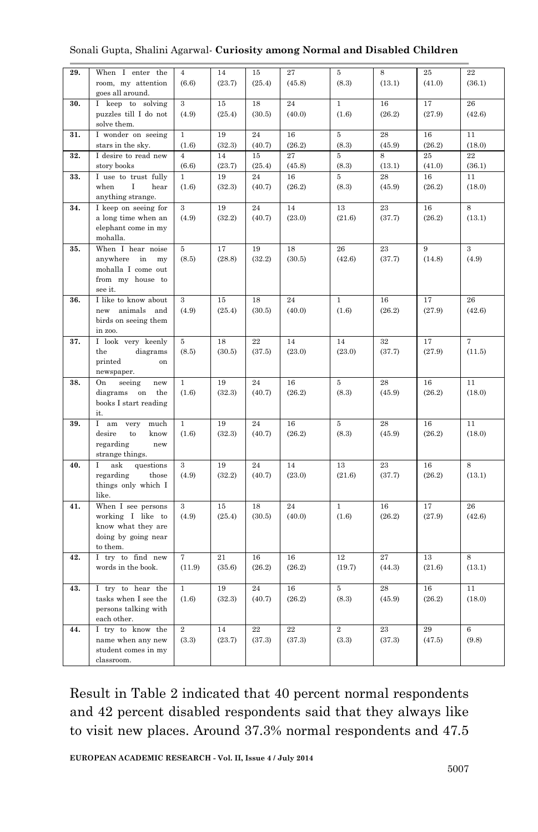| Sonali Gupta, Shalini Agarwal- Curiosity among Normal and Disabled Children |  |  |  |  |
|-----------------------------------------------------------------------------|--|--|--|--|
|-----------------------------------------------------------------------------|--|--|--|--|

| 29. | When I enter the                | $\overline{4}$ | 14     | 15        | 27     | 5              | 8      | 25     | 22              |
|-----|---------------------------------|----------------|--------|-----------|--------|----------------|--------|--------|-----------------|
|     | room, my attention              | (6.6)          | (23.7) | (25.4)    | (45.8) | (8.3)          | (13.1) | (41.0) | (36.1)          |
|     | goes all around.                |                |        |           |        |                |        |        |                 |
| 30. | I keep to solving               | $\mathbf{3}$   | 15     | 18        | 24     | $\mathbf{1}$   | 16     | 17     | 26              |
|     | puzzles till I do not           | (4.9)          | (25.4) | (30.5)    | (40.0) | (1.6)          | (26.2) | (27.9) | (42.6)          |
|     | solve them.                     |                |        |           |        |                |        |        |                 |
| 31. | I wonder on seeing              | $\mathbf{1}$   | 19     | $\bf{24}$ | 16     | $5\,$          | 28     | $16\,$ | 11              |
|     | stars in the sky.               | (1.6)          | (32.3) | (40.7)    | (26.2) | (8.3)          | (45.9) | (26.2) | (18.0)          |
| 32. | I desire to read new            | $\overline{4}$ | 14     | 15        | 27     | 5              | 8      | 25     | $\overline{22}$ |
|     | story books                     | (6.6)          | (23.7) | (25.4)    | (45.8) | (8.3)          | (13.1) | (41.0) | (36.1)          |
| 33. | I use to trust fully            | $\overline{1}$ | 19     | 24        | 16     | 5              | 28     | 16     | $\overline{11}$ |
|     | when<br>$\bf{I}$<br>hear        | (1.6)          | (32.3) | (40.7)    | (26.2) | (8.3)          | (45.9) | (26.2) | (18.0)          |
|     | anything strange.               |                |        |           |        |                |        |        |                 |
|     |                                 |                |        |           |        |                |        |        |                 |
| 34. | I keep on seeing for            | 3              | 19     | 24        | 14     | 13             | 23     | 16     | 8               |
|     | a long time when an             | (4.9)          | (32.2) | (40.7)    | (23.0) | (21.6)         | (37.7) | (26.2) | (13.1)          |
|     | elephant come in my             |                |        |           |        |                |        |        |                 |
| 35. | mohalla.                        |                | 17     | 19        |        | 26             | 23     |        |                 |
|     | When I hear noise               | 5              |        |           | 18     |                |        | 9      | 3               |
|     | anywhere<br>in<br>my            | (8.5)          | (28.8) | (32.2)    | (30.5) | (42.6)         | (37.7) | (14.8) | (4.9)           |
|     | mohalla I come out              |                |        |           |        |                |        |        |                 |
|     | from my house to                |                |        |           |        |                |        |        |                 |
|     | see it.                         |                |        |           |        |                |        |        |                 |
| 36. | I like to know about            | 3              | 15     | 18        | 24     | $\mathbf{1}$   | 16     | 17     | 26              |
|     | new animals and                 | (4.9)          | (25.4) | (30.5)    | (40.0) | (1.6)          | (26.2) | (27.9) | (42.6)          |
|     | birds on seeing them            |                |        |           |        |                |        |        |                 |
|     | in zoo.                         |                |        |           |        |                |        |        |                 |
| 37. | I look very keenly              | 5              | 18     | 22        | 14     | 14             | 32     | 17     | $\overline{7}$  |
|     | the<br>diagrams                 | (8.5)          | (30.5) | (37.5)    | (23.0) | (23.0)         | (37.7) | (27.9) | (11.5)          |
|     | printed<br>on                   |                |        |           |        |                |        |        |                 |
|     | newspaper.                      |                |        |           |        |                |        |        |                 |
| 38. | seeing<br>On<br>new             | $\mathbf{1}$   | 19     | 24        | 16     | $\bf 5$        | 28     | 16     | 11              |
|     | diagrams<br>on<br>the           | (1.6)          | (32.3) | (40.7)    | (26.2) | (8.3)          | (45.9) | (26.2) | (18.0)          |
|     | books I start reading           |                |        |           |        |                |        |        |                 |
|     | it.                             |                |        |           |        |                |        |        |                 |
| 39. | I am<br>very<br>much            | $\mathbf{1}$   | 19     | 24        | 16     | 5              | 28     | 16     | 11              |
|     | desire<br>know<br>to            | (1.6)          | (32.3) | (40.7)    | (26.2) | (8.3)          | (45.9) | (26.2) | (18.0)          |
|     | regarding<br>new                |                |        |           |        |                |        |        |                 |
|     | strange things.                 |                |        |           |        |                |        |        |                 |
| 40. | ask<br>I<br>questions           | 3              | 19     | 24        | 14     | 13             | 23     | 16     | 8               |
|     | regarding<br>those              | (4.9)          | (32.2) | (40.7)    | (23.0) | (21.6)         | (37.7) | (26.2) | (13.1)          |
|     | things only which I             |                |        |           |        |                |        |        |                 |
|     | like.                           |                |        |           |        |                |        |        |                 |
| 41. | When I see persons              | 3              | 15     | 18        | 24     | $\mathbf{1}$   | 16     | 17     | 26              |
|     | working I like to               | (4.9)          | (25.4) | (30.5)    | (40.0) | (1.6)          | (26.2) | (27.9) | (42.6)          |
|     | know what they are              |                |        |           |        |                |        |        |                 |
|     | doing by going near<br>to them. |                |        |           |        |                |        |        |                 |
|     |                                 |                |        |           |        |                |        |        |                 |
| 42. | I try to find new               | 7              | 21     | 16        | 16     | 12             | 27     | 13     | 8               |
|     | words in the book.              | (11.9)         | (35.6) | (26.2)    | (26.2) | (19.7)         | (44.3) | (21.6) | (13.1)          |
|     |                                 |                |        |           |        |                |        |        |                 |
| 43. | I try to hear the               | $\mathbf{1}$   | 19     | 24        | 16     | 5              | 28     | 16     | 11              |
|     | tasks when I see the            | (1.6)          | (32.3) | (40.7)    | (26.2) | (8.3)          | (45.9) | (26.2) | (18.0)          |
|     | persons talking with            |                |        |           |        |                |        |        |                 |
|     | each other.                     |                |        |           |        |                |        |        |                 |
| 44. | I try to know the               | $\overline{2}$ | 14     | 22        | 22     | $\overline{2}$ | 23     | 29     | 6               |
|     | name when any new               | (3.3)          | (23.7) | (37.3)    | (37.3) | (3.3)          | (37.3) | (47.5) | (9.8)           |
|     | student comes in my             |                |        |           |        |                |        |        |                 |
|     | classroom.                      |                |        |           |        |                |        |        |                 |

Result in Table 2 indicated that 40 percent normal respondents and 42 percent disabled respondents said that they always like to visit new places. Around 37.3% normal respondents and 47.5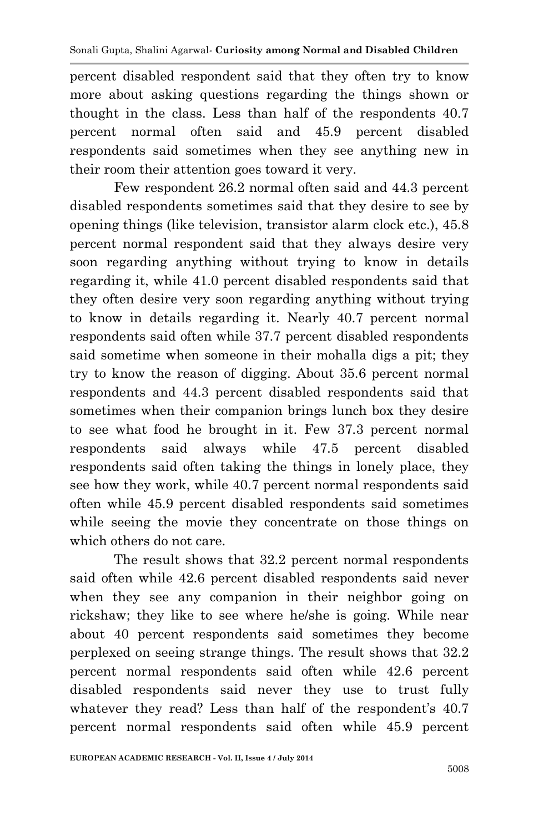percent disabled respondent said that they often try to know more about asking questions regarding the things shown or thought in the class. Less than half of the respondents 40.7 percent normal often said and 45.9 percent disabled respondents said sometimes when they see anything new in their room their attention goes toward it very.

Few respondent 26.2 normal often said and 44.3 percent disabled respondents sometimes said that they desire to see by opening things (like television, transistor alarm clock etc.), 45.8 percent normal respondent said that they always desire very soon regarding anything without trying to know in details regarding it, while 41.0 percent disabled respondents said that they often desire very soon regarding anything without trying to know in details regarding it. Nearly 40.7 percent normal respondents said often while 37.7 percent disabled respondents said sometime when someone in their mohalla digs a pit; they try to know the reason of digging. About 35.6 percent normal respondents and 44.3 percent disabled respondents said that sometimes when their companion brings lunch box they desire to see what food he brought in it. Few 37.3 percent normal respondents said always while 47.5 percent disabled respondents said often taking the things in lonely place, they see how they work, while 40.7 percent normal respondents said often while 45.9 percent disabled respondents said sometimes while seeing the movie they concentrate on those things on which others do not care.

The result shows that 32.2 percent normal respondents said often while 42.6 percent disabled respondents said never when they see any companion in their neighbor going on rickshaw; they like to see where he/she is going. While near about 40 percent respondents said sometimes they become perplexed on seeing strange things. The result shows that 32.2 percent normal respondents said often while 42.6 percent disabled respondents said never they use to trust fully whatever they read? Less than half of the respondent's 40.7 percent normal respondents said often while 45.9 percent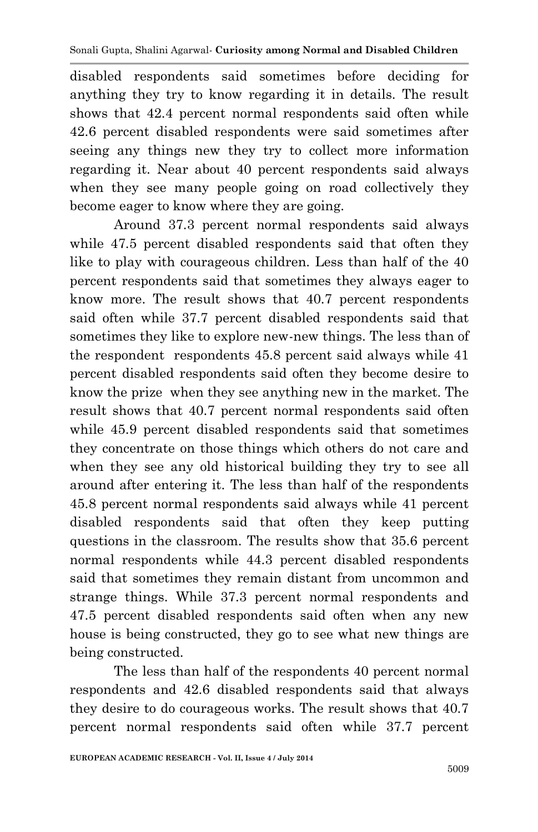disabled respondents said sometimes before deciding for anything they try to know regarding it in details. The result shows that 42.4 percent normal respondents said often while 42.6 percent disabled respondents were said sometimes after seeing any things new they try to collect more information regarding it. Near about 40 percent respondents said always when they see many people going on road collectively they become eager to know where they are going.

Around 37.3 percent normal respondents said always while 47.5 percent disabled respondents said that often they like to play with courageous children. Less than half of the 40 percent respondents said that sometimes they always eager to know more. The result shows that 40.7 percent respondents said often while 37.7 percent disabled respondents said that sometimes they like to explore new-new things. The less than of the respondent respondents 45.8 percent said always while 41 percent disabled respondents said often they become desire to know the prize when they see anything new in the market. The result shows that 40.7 percent normal respondents said often while 45.9 percent disabled respondents said that sometimes they concentrate on those things which others do not care and when they see any old historical building they try to see all around after entering it. The less than half of the respondents 45.8 percent normal respondents said always while 41 percent disabled respondents said that often they keep putting questions in the classroom. The results show that 35.6 percent normal respondents while 44.3 percent disabled respondents said that sometimes they remain distant from uncommon and strange things. While 37.3 percent normal respondents and 47.5 percent disabled respondents said often when any new house is being constructed, they go to see what new things are being constructed.

The less than half of the respondents 40 percent normal respondents and 42.6 disabled respondents said that always they desire to do courageous works. The result shows that 40.7 percent normal respondents said often while 37.7 percent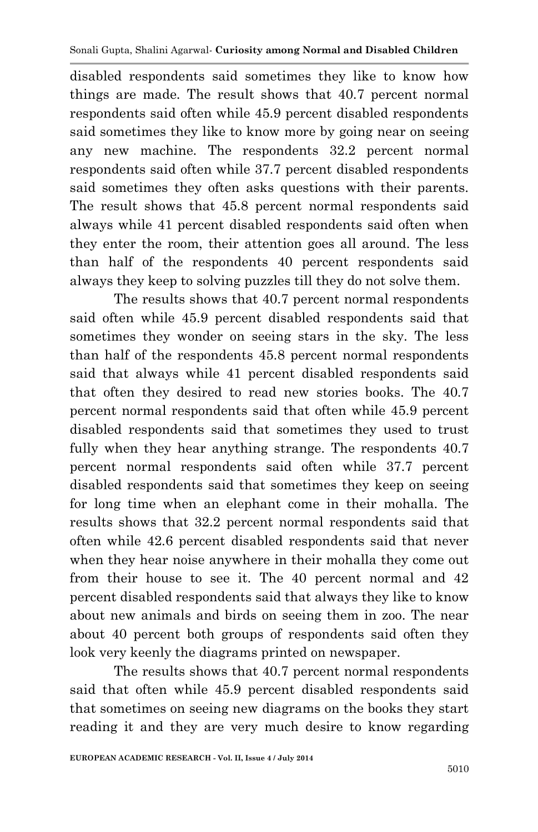disabled respondents said sometimes they like to know how things are made. The result shows that 40.7 percent normal respondents said often while 45.9 percent disabled respondents said sometimes they like to know more by going near on seeing any new machine. The respondents 32.2 percent normal respondents said often while 37.7 percent disabled respondents said sometimes they often asks questions with their parents. The result shows that 45.8 percent normal respondents said always while 41 percent disabled respondents said often when they enter the room, their attention goes all around. The less than half of the respondents 40 percent respondents said always they keep to solving puzzles till they do not solve them.

The results shows that 40.7 percent normal respondents said often while 45.9 percent disabled respondents said that sometimes they wonder on seeing stars in the sky. The less than half of the respondents 45.8 percent normal respondents said that always while 41 percent disabled respondents said that often they desired to read new stories books. The 40.7 percent normal respondents said that often while 45.9 percent disabled respondents said that sometimes they used to trust fully when they hear anything strange. The respondents 40.7 percent normal respondents said often while 37.7 percent disabled respondents said that sometimes they keep on seeing for long time when an elephant come in their mohalla. The results shows that 32.2 percent normal respondents said that often while 42.6 percent disabled respondents said that never when they hear noise anywhere in their mohalla they come out from their house to see it. The 40 percent normal and 42 percent disabled respondents said that always they like to know about new animals and birds on seeing them in zoo. The near about 40 percent both groups of respondents said often they look very keenly the diagrams printed on newspaper.

The results shows that 40.7 percent normal respondents said that often while 45.9 percent disabled respondents said that sometimes on seeing new diagrams on the books they start reading it and they are very much desire to know regarding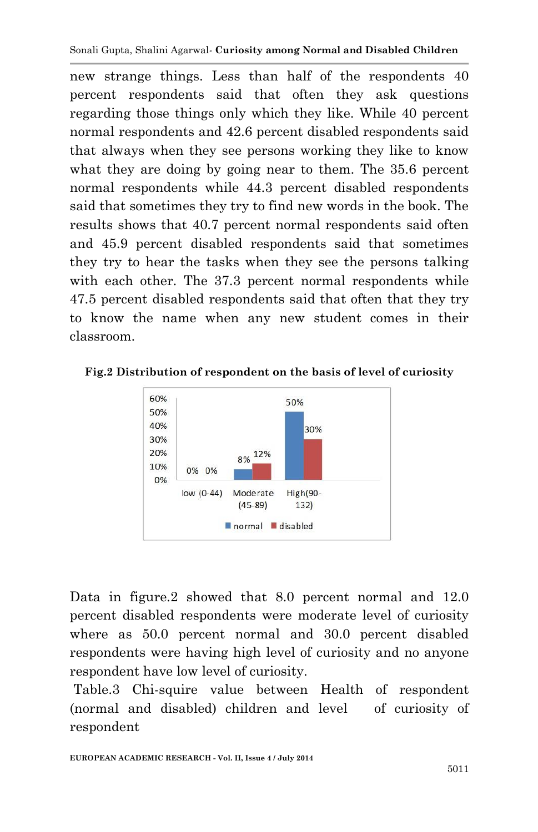new strange things. Less than half of the respondents 40 percent respondents said that often they ask questions regarding those things only which they like. While 40 percent normal respondents and 42.6 percent disabled respondents said that always when they see persons working they like to know what they are doing by going near to them. The 35.6 percent normal respondents while 44.3 percent disabled respondents said that sometimes they try to find new words in the book. The results shows that 40.7 percent normal respondents said often and 45.9 percent disabled respondents said that sometimes they try to hear the tasks when they see the persons talking with each other. The 37.3 percent normal respondents while 47.5 percent disabled respondents said that often that they try to know the name when any new student comes in their classroom.

**Fig.2 Distribution of respondent on the basis of level of curiosity**



Data in figure.2 showed that 8.0 percent normal and 12.0 percent disabled respondents were moderate level of curiosity where as 50.0 percent normal and 30.0 percent disabled respondents were having high level of curiosity and no anyone respondent have low level of curiosity.

Table.3 Chi-squire value between Health of respondent (normal and disabled) children and level of curiosity of respondent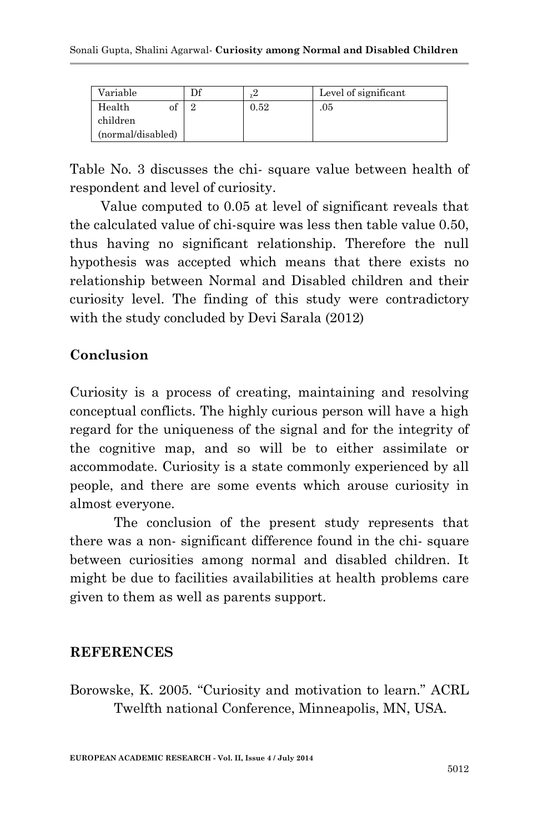| Variable          | γ4   | Level of significant |
|-------------------|------|----------------------|
| Health<br>ОΙ      | 0.52 | .05                  |
| children          |      |                      |
| (normal/disabled) |      |                      |

Table No. 3 discusses the chi- square value between health of respondent and level of curiosity.

Value computed to 0.05 at level of significant reveals that the calculated value of chi-squire was less then table value 0.50, thus having no significant relationship. Therefore the null hypothesis was accepted which means that there exists no relationship between Normal and Disabled children and their curiosity level. The finding of this study were contradictory with the study concluded by Devi Sarala (2012)

## **Conclusion**

Curiosity is a process of creating, maintaining and resolving conceptual conflicts. The highly curious person will have a high regard for the uniqueness of the signal and for the integrity of the cognitive map, and so will be to either assimilate or accommodate. Curiosity is a state commonly experienced by all people, and there are some events which arouse curiosity in almost everyone.

The conclusion of the present study represents that there was a non- significant difference found in the chi- square between curiosities among normal and disabled children. It might be due to facilities availabilities at health problems care given to them as well as parents support.

#### **REFERENCES**

Borowske, K. 2005. "Curiosity and motivation to learn." ACRL Twelfth national Conference, Minneapolis, MN, USA*.*